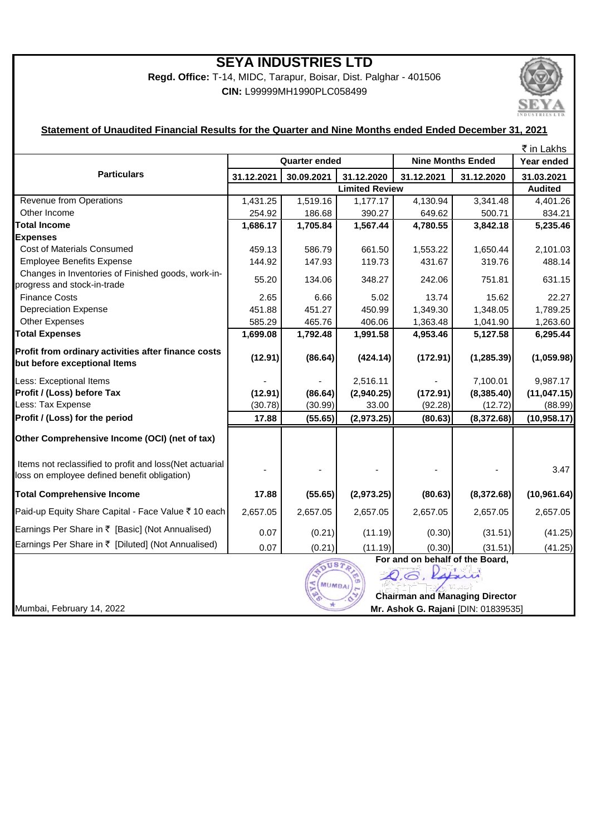## **SEYA INDUSTRIES LTD**

**Regd. Office:** T-14, MIDC, Tarapur, Boisar, Dist. Palghar - 401506 **CIN:** L99999MH1990PLC058499



#### **Statement of Unaudited Financial Results for the Quarter and Nine Months ended Ended December 31, 2021**

|                                                                                                          |                                                                                                                   |            |            |                          |                | ₹ in Lakhs   |
|----------------------------------------------------------------------------------------------------------|-------------------------------------------------------------------------------------------------------------------|------------|------------|--------------------------|----------------|--------------|
| <b>Particulars</b>                                                                                       | <b>Quarter ended</b>                                                                                              |            |            | <b>Nine Months Ended</b> |                | Year ended   |
|                                                                                                          | 31.12.2021                                                                                                        | 30.09.2021 | 31.12.2020 | 31.12.2021               | 31.12.2020     | 31.03.2021   |
|                                                                                                          | <b>Limited Review</b>                                                                                             |            |            |                          | <b>Audited</b> |              |
| Revenue from Operations                                                                                  | 1,431.25                                                                                                          | 1,519.16   | 1,177.17   | 4,130.94                 | 3,341.48       | 4,401.26     |
| Other Income                                                                                             | 254.92                                                                                                            | 186.68     | 390.27     | 649.62                   | 500.71         | 834.21       |
| <b>Total Income</b>                                                                                      | 1,686.17                                                                                                          | 1,705.84   | 1,567.44   | 4,780.55                 | 3,842.18       | 5,235.46     |
| <b>Expenses</b>                                                                                          |                                                                                                                   |            |            |                          |                |              |
| Cost of Materials Consumed                                                                               | 459.13                                                                                                            | 586.79     | 661.50     | 1,553.22                 | 1,650.44       | 2,101.03     |
| <b>Employee Benefits Expense</b>                                                                         | 144.92                                                                                                            | 147.93     | 119.73     | 431.67                   | 319.76         | 488.14       |
| Changes in Inventories of Finished goods, work-in-<br>progress and stock-in-trade                        | 55.20                                                                                                             | 134.06     | 348.27     | 242.06                   | 751.81         | 631.15       |
| <b>Finance Costs</b>                                                                                     | 2.65                                                                                                              | 6.66       | 5.02       | 13.74                    | 15.62          | 22.27        |
| <b>Depreciation Expense</b>                                                                              | 451.88                                                                                                            | 451.27     | 450.99     | 1,349.30                 | 1,348.05       | 1,789.25     |
| <b>Other Expenses</b>                                                                                    | 585.29                                                                                                            | 465.76     | 406.06     | 1,363.48                 | 1,041.90       | 1,263.60     |
| <b>Total Expenses</b>                                                                                    | 1,699.08                                                                                                          | 1,792.48   | 1,991.58   | 4,953.46                 | 5,127.58       | 6,295.44     |
| Profit from ordinary activities after finance costs<br>but before exceptional Items                      | (12.91)                                                                                                           | (86.64)    | (424.14)   | (172.91)                 | (1, 285.39)    | (1,059.98)   |
| Less: Exceptional Items                                                                                  |                                                                                                                   |            | 2,516.11   |                          | 7,100.01       | 9,987.17     |
| Profit / (Loss) before Tax                                                                               | (12.91)                                                                                                           | (86.64)    | (2,940.25) | (172.91)                 | (8,385.40)     | (11, 047.15) |
| Less: Tax Expense                                                                                        | (30.78)                                                                                                           | (30.99)    | 33.00      | (92.28)                  | (12.72)        | (88.99)      |
| Profit / (Loss) for the period                                                                           | 17.88                                                                                                             | (55.65)    | (2,973.25) | (80.63)                  | (8,372.68)     | (10, 958.17) |
| Other Comprehensive Income (OCI) (net of tax)                                                            |                                                                                                                   |            |            |                          |                |              |
| Items not reclassified to profit and loss (Net actuarial<br>loss on employee defined benefit obligation) |                                                                                                                   |            |            |                          |                | 3.47         |
| <b>Total Comprehensive Income</b>                                                                        | 17.88                                                                                                             | (55.65)    | (2,973.25) | (80.63)                  | (8,372.68)     | (10, 961.64) |
| Paid-up Equity Share Capital - Face Value ₹ 10 each                                                      | 2,657.05                                                                                                          | 2,657.05   | 2,657.05   | 2,657.05                 | 2,657.05       | 2,657.05     |
| Earnings Per Share in ₹ [Basic] (Not Annualised)                                                         | 0.07                                                                                                              | (0.21)     | (11.19)    | (0.30)                   | (31.51)        | (41.25)      |
| Earnings Per Share in ₹ [Diluted] (Not Annualised)                                                       | 0.07                                                                                                              | (0.21)     | (11.19)    | (0.30)                   | (31.51)        | (41.25)      |
|                                                                                                          | For and on behalf of the Board,<br>OUSTA<br>Q.G. Rapini<br><b>MUMBAI</b><br><b>Chairman and Managing Director</b> |            |            |                          |                |              |
| Mumbai, February 14, 2022                                                                                | Mr. Ashok G. Rajani [DIN: 01839535]                                                                               |            |            |                          |                |              |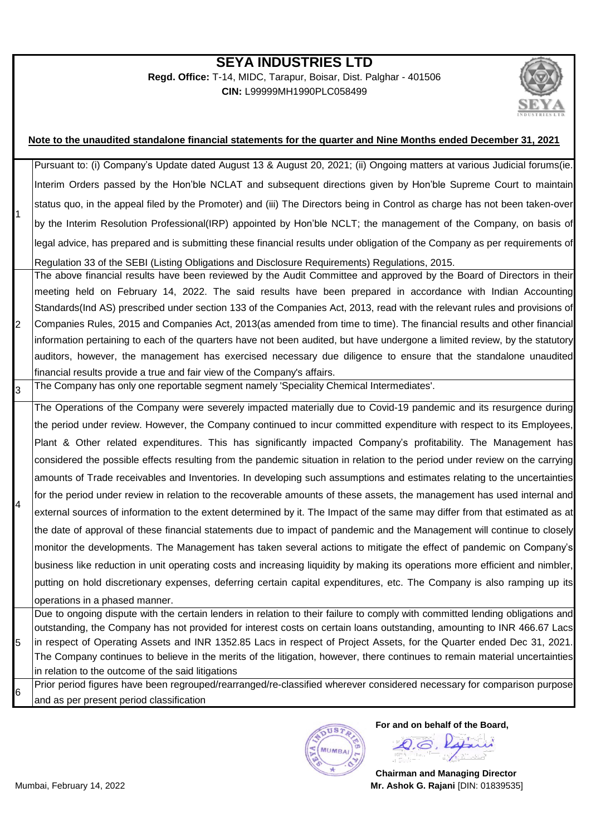### **SEYA INDUSTRIES LTD**

**Regd. Office:** T-14, MIDC, Tarapur, Boisar, Dist. Palghar - 401506 **CIN:** L99999MH1990PLC058499



#### 1 2 3 4 5 6 Prior period figures have been regrouped/rearranged/re-classified wherever considered necessary for comparison purpose and as per present period classification **Note to the unaudited standalone financial statements for the quarter and Nine Months ended December 31, 2021** Pursuant to: (i) Company's Update dated August 13 & August 20, 2021; (ii) Ongoing matters at various Judicial forums(ie. Interim Orders passed by the Hon'ble NCLAT and subsequent directions given by Hon'ble Supreme Court to maintain status quo, in the appeal filed by the Promoter) and (iii) The Directors being in Control as charge has not been taken-over by the Interim Resolution Professional(IRP) appointed by Hon'ble NCLT; the management of the Company, on basis of legal advice, has prepared and is submitting these financial results under obligation of the Company as per requirements of Regulation 33 of the SEBI (Listing Obligations and Disclosure Requirements) Regulations, 2015. The above financial results have been reviewed by the Audit Committee and approved by the Board of Directors in their meeting held on February 14, 2022. The said results have been prepared in accordance with Indian Accounting Standards(Ind AS) prescribed under section 133 of the Companies Act, 2013, read with the relevant rules and provisions of Companies Rules, 2015 and Companies Act, 2013(as amended from time to time). The financial results and other financial information pertaining to each of the quarters have not been audited, but have undergone a limited review, by the statutory auditors, however, the management has exercised necessary due diligence to ensure that the standalone unaudited financial results provide a true and fair view of the Company's affairs. The Company has only one reportable segment namely 'Speciality Chemical Intermediates'. The Operations of the Company were severely impacted materially due to Covid-19 pandemic and its resurgence during the period under review. However, the Company continued to incur committed expenditure with respect to its Employees, Plant & Other related expenditures. This has significantly impacted Company's profitability. The Management has considered the possible effects resulting from the pandemic situation in relation to the period under review on the carrying amounts of Trade receivables and Inventories. In developing such assumptions and estimates relating to the uncertainties for the period under review in relation to the recoverable amounts of these assets, the management has used internal and external sources of information to the extent determined by it. The Impact of the same may differ from that estimated as at the date of approval of these financial statements due to impact of pandemic and the Management will continue to closely monitor the developments. The Management has taken several actions to mitigate the effect of pandemic on Company's business like reduction in unit operating costs and increasing liquidity by making its operations more efficient and nimbler, putting on hold discretionary expenses, deferring certain capital expenditures, etc. The Company is also ramping up its operations in a phased manner. Due to ongoing dispute with the certain lenders in relation to their failure to comply with committed lending obligations and outstanding, the Company has not provided for interest costs on certain loans outstanding, amounting to INR 466.67 Lacs in respect of Operating Assets and INR 1352.85 Lacs in respect of Project Assets, for the Quarter ended Dec 31, 2021. The Company continues to believe in the merits of the litigation, however, there continues to remain material uncertainties in relation to the outcome of the said litigations



**For and on behalf of the Board,** O.B. Rabin

**Chairman and Managing Director** Mumbai, February 14, 2022 **Mr. Ashok G. Rajani** [DIN: 01839535]